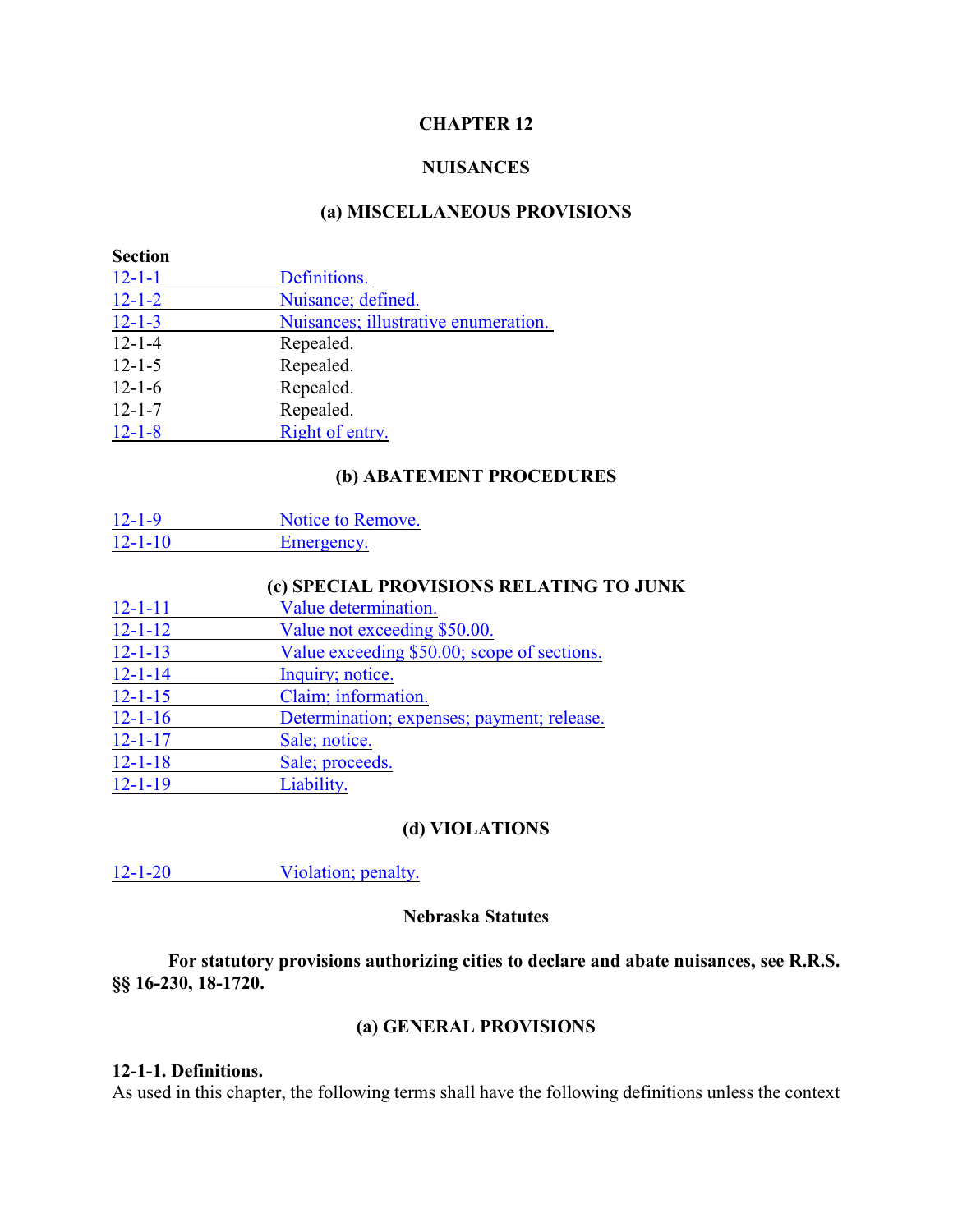#### **CHAPTER 12**

#### **NUISANCES**

#### **(a) MISCELLANEOUS PROVISIONS**

| <b>Section</b> |                                      |  |
|----------------|--------------------------------------|--|
| $12 - 1 - 1$   | Definitions.                         |  |
| $12 - 1 - 2$   | Nuisance; defined.                   |  |
| $12 - 1 - 3$   | Nuisances; illustrative enumeration. |  |
| $12 - 1 - 4$   | Repealed.                            |  |
| $12 - 1 - 5$   | Repealed.                            |  |
| $12 - 1 - 6$   | Repealed.                            |  |
| $12 - 1 - 7$   | Repealed.                            |  |
| $12 - 1 - 8$   | Right of entry.                      |  |

## **(b) ABATEMENT PROCEDURES**

| $12 - 1 - 9$  | Notice to Remove. |
|---------------|-------------------|
| $12 - 1 - 10$ | Emergency.        |

#### **(c) SPECIAL PROVISIONS RELATING TO JUNK**

| $12 - 1 - 11$ | Value determination.                        |
|---------------|---------------------------------------------|
| $12 - 1 - 12$ | Value not exceeding \$50.00.                |
| $12 - 1 - 13$ | Value exceeding \$50.00; scope of sections. |
| $12 - 1 - 14$ | Inquiry; notice.                            |
| $12 - 1 - 15$ | Claim; information.                         |
| $12 - 1 - 16$ | Determination; expenses; payment; release.  |
| $12 - 1 - 17$ | Sale; notice.                               |
| $12 - 1 - 18$ | Sale; proceeds.                             |
| $12 - 1 - 19$ | Liability.                                  |

#### **(d) VIOLATIONS**

12-1-20 [Violation; penalty.](#page-6-3)

#### **Nebraska Statutes**

**For statutory provisions authorizing cities to declare and abate nuisances, see R.R.S. §§ 16-230, 18-1720.**

# **(a) GENERAL PROVISIONS**

#### <span id="page-0-0"></span>**12-1-1. Definitions.**

As used in this chapter, the following terms shall have the following definitions unless the context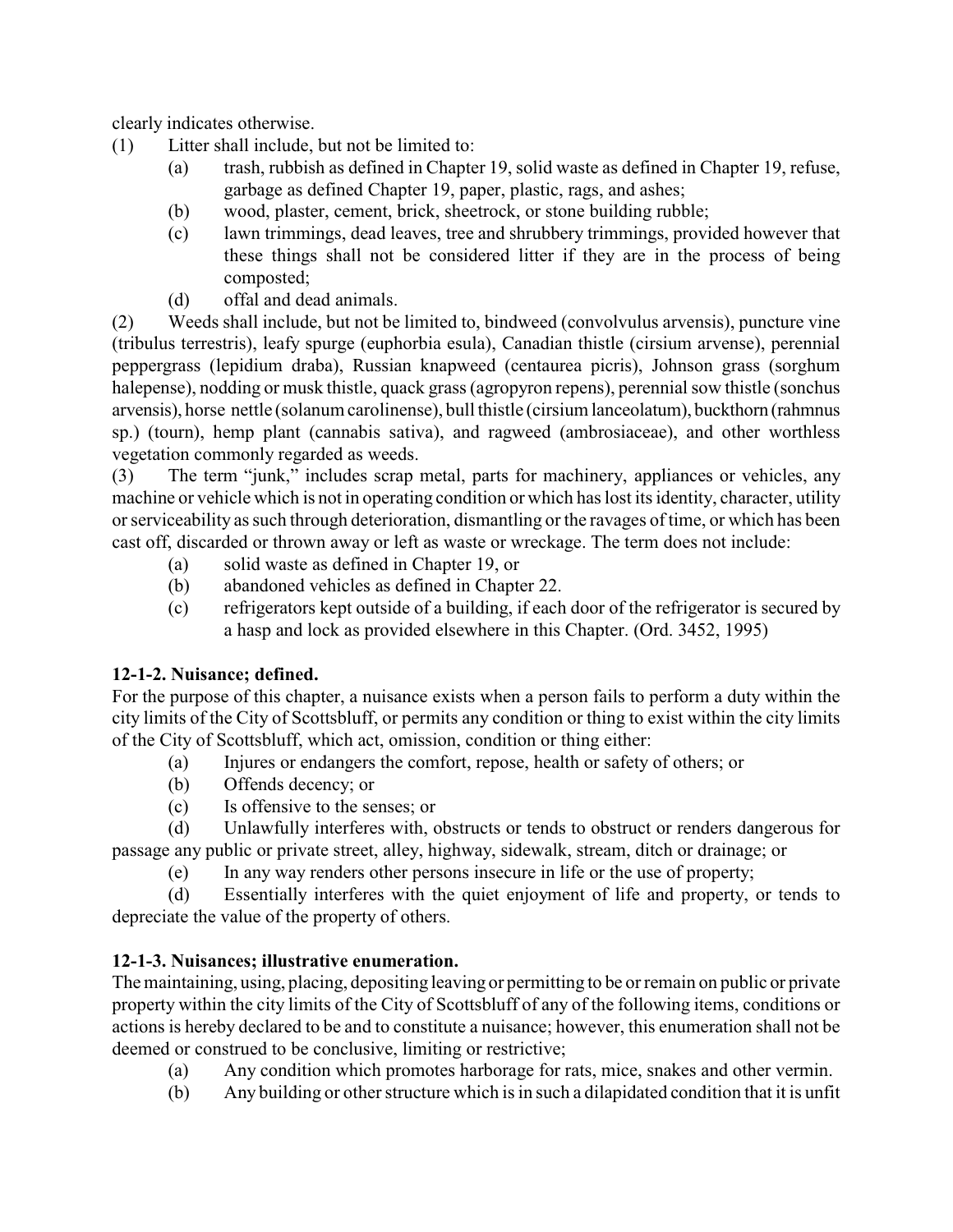clearly indicates otherwise.

- (1) Litter shall include, but not be limited to:
	- (a) trash, rubbish as defined in Chapter 19, solid waste as defined in Chapter 19, refuse, garbage as defined Chapter 19, paper, plastic, rags, and ashes;
	- (b) wood, plaster, cement, brick, sheetrock, or stone building rubble;
	- (c) lawn trimmings, dead leaves, tree and shrubbery trimmings, provided however that these things shall not be considered litter if they are in the process of being composted;
	- (d) offal and dead animals.

(2) Weeds shall include, but not be limited to, bindweed (convolvulus arvensis), puncture vine (tribulus terrestris), leafy spurge (euphorbia esula), Canadian thistle (cirsium arvense), perennial peppergrass (lepidium draba), Russian knapweed (centaurea picris), Johnson grass (sorghum halepense), nodding or musk thistle, quack grass (agropyron repens), perennial sow thistle (sonchus arvensis), horse nettle (solanum carolinense), bull thistle (cirsium lanceolatum), buckthorn (rahmnus sp.) (tourn), hemp plant (cannabis sativa), and ragweed (ambrosiaceae), and other worthless vegetation commonly regarded as weeds.

(3) The term "junk," includes scrap metal, parts for machinery, appliances or vehicles, any machine or vehicle which is not in operating condition or which has lost its identity, character, utility or serviceability as such through deterioration, dismantling or the ravages of time, or which has been cast off, discarded or thrown away or left as waste or wreckage. The term does not include:

- (a) solid waste as defined in Chapter 19, or
- (b) abandoned vehicles as defined in Chapter 22.
- (c) refrigerators kept outside of a building, if each door of the refrigerator is secured by a hasp and lock as provided elsewhere in this Chapter. (Ord. 3452, 1995)

### <span id="page-1-0"></span>**12-1-2. Nuisance; defined.**

For the purpose of this chapter, a nuisance exists when a person fails to perform a duty within the city limits of the City of Scottsbluff, or permits any condition or thing to exist within the city limits of the City of Scottsbluff, which act, omission, condition or thing either:

- (a) Injures or endangers the comfort, repose, health or safety of others; or
- (b) Offends decency; or
- (c) Is offensive to the senses; or

(d) Unlawfully interferes with, obstructs or tends to obstruct or renders dangerous for passage any public or private street, alley, highway, sidewalk, stream, ditch or drainage; or

(e) In any way renders other persons insecure in life or the use of property;

(d) Essentially interferes with the quiet enjoyment of life and property, or tends to depreciate the value of the property of others.

# <span id="page-1-1"></span>**12-1-3. Nuisances; illustrative enumeration.**

The maintaining, using, placing, depositing leaving or permitting to be or remain on public or private property within the city limits of the City of Scottsbluff of any of the following items, conditions or actions is hereby declared to be and to constitute a nuisance; however, this enumeration shall not be deemed or construed to be conclusive, limiting or restrictive;

- (a) Any condition which promotes harborage for rats, mice, snakes and other vermin.
- (b) Any building or other structure which is in such a dilapidated condition that it is unfit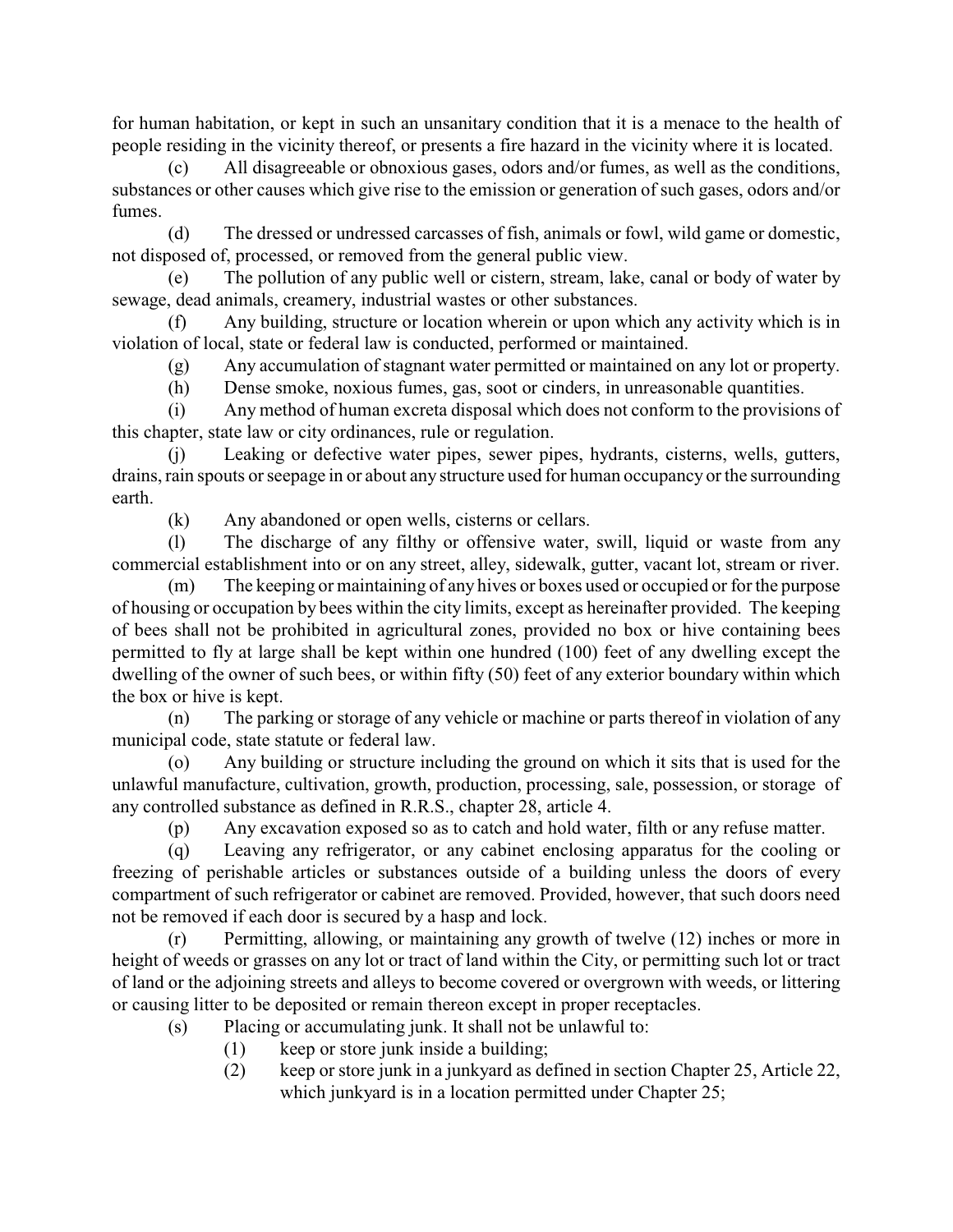for human habitation, or kept in such an unsanitary condition that it is a menace to the health of people residing in the vicinity thereof, or presents a fire hazard in the vicinity where it is located.

(c) All disagreeable or obnoxious gases, odors and/or fumes, as well as the conditions, substances or other causes which give rise to the emission or generation of such gases, odors and/or fumes.

(d) The dressed or undressed carcasses of fish, animals or fowl, wild game or domestic, not disposed of, processed, or removed from the general public view.

(e) The pollution of any public well or cistern, stream, lake, canal or body of water by sewage, dead animals, creamery, industrial wastes or other substances.

(f) Any building, structure or location wherein or upon which any activity which is in violation of local, state or federal law is conducted, performed or maintained.

(g) Any accumulation of stagnant water permitted or maintained on any lot or property.

(h) Dense smoke, noxious fumes, gas, soot or cinders, in unreasonable quantities.

(i) Any method of human excreta disposal which does not conform to the provisions of this chapter, state law or city ordinances, rule or regulation.

(j) Leaking or defective water pipes, sewer pipes, hydrants, cisterns, wells, gutters, drains, rain spouts or seepage in or about any structure used for human occupancy or the surrounding earth.

(k) Any abandoned or open wells, cisterns or cellars.

(l) The discharge of any filthy or offensive water, swill, liquid or waste from any commercial establishment into or on any street, alley, sidewalk, gutter, vacant lot, stream or river.

(m) The keeping or maintaining of any hives or boxes used or occupied or for the purpose of housing or occupation by bees within the city limits, except as hereinafter provided. The keeping of bees shall not be prohibited in agricultural zones, provided no box or hive containing bees permitted to fly at large shall be kept within one hundred (100) feet of any dwelling except the dwelling of the owner of such bees, or within fifty (50) feet of any exterior boundary within which the box or hive is kept.

(n) The parking or storage of any vehicle or machine or parts thereof in violation of any municipal code, state statute or federal law.

(o) Any building or structure including the ground on which it sits that is used for the unlawful manufacture, cultivation, growth, production, processing, sale, possession, or storage of any controlled substance as defined in R.R.S., chapter 28, article 4.

(p) Any excavation exposed so as to catch and hold water, filth or any refuse matter.

(q) Leaving any refrigerator, or any cabinet enclosing apparatus for the cooling or freezing of perishable articles or substances outside of a building unless the doors of every compartment of such refrigerator or cabinet are removed. Provided, however, that such doors need not be removed if each door is secured by a hasp and lock.

(r) Permitting, allowing, or maintaining any growth of twelve (12) inches or more in height of weeds or grasses on any lot or tract of land within the City, or permitting such lot or tract of land or the adjoining streets and alleys to become covered or overgrown with weeds, or littering or causing litter to be deposited or remain thereon except in proper receptacles.

- (s) Placing or accumulating junk. It shall not be unlawful to:
	- (1) keep or store junk inside a building;
	- (2) keep or store junk in a junkyard as defined in section Chapter 25, Article 22, which junkyard is in a location permitted under Chapter 25;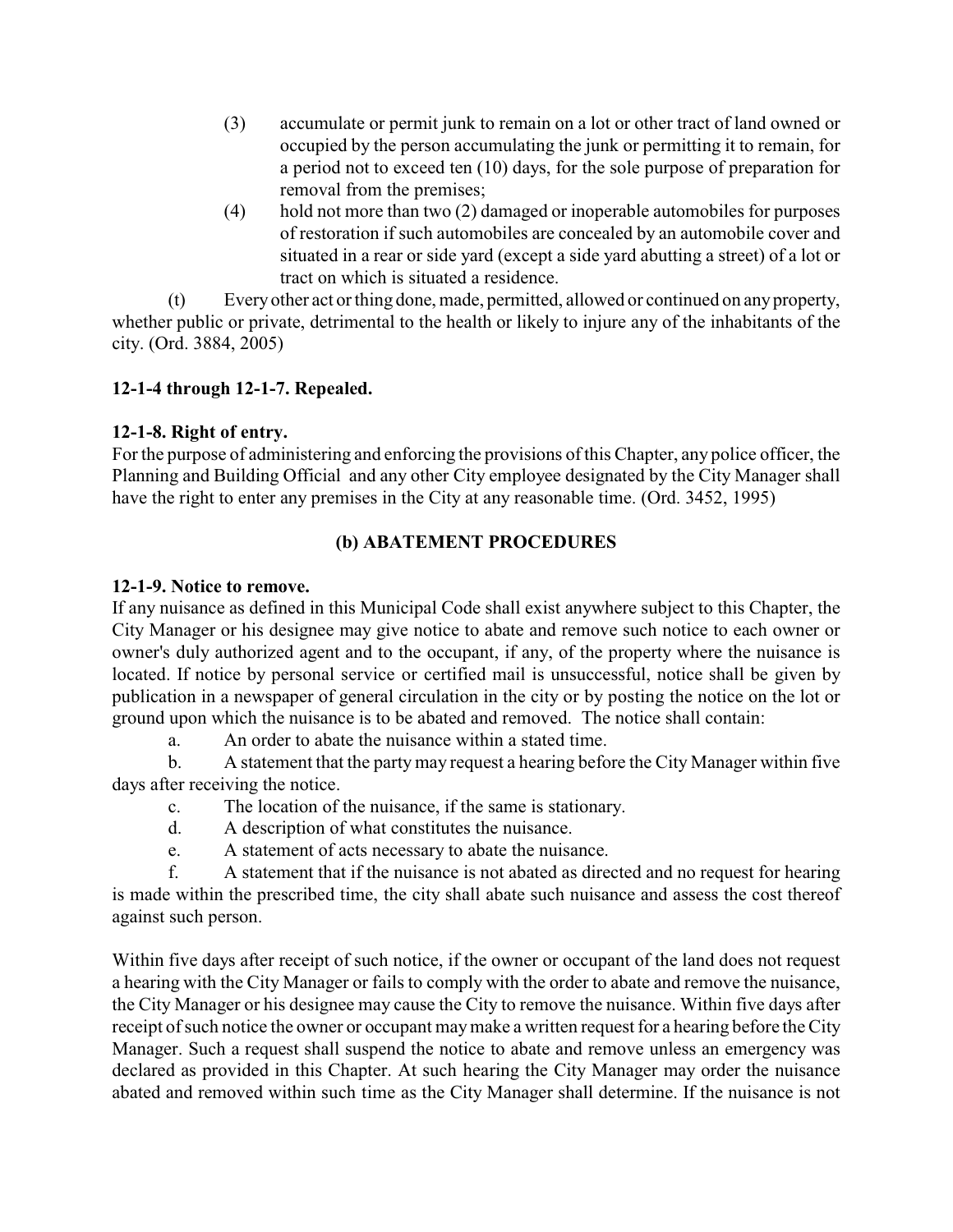- (3) accumulate or permit junk to remain on a lot or other tract of land owned or occupied by the person accumulating the junk or permitting it to remain, for a period not to exceed ten (10) days, for the sole purpose of preparation for removal from the premises;
- (4) hold not more than two (2) damaged or inoperable automobiles for purposes of restoration if such automobiles are concealed by an automobile cover and situated in a rear or side yard (except a side yard abutting a street) of a lot or tract on which is situated a residence.

(t) Every other act or thing done, made, permitted, allowed or continued on any property, whether public or private, detrimental to the health or likely to injure any of the inhabitants of the city. (Ord. 3884, 2005)

# **12-1-4 through 12-1-7. Repealed.**

### <span id="page-3-0"></span>**12-1-8. Right of entry.**

For the purpose of administering and enforcing the provisions ofthis Chapter, any police officer, the Planning and Building Official and any other City employee designated by the City Manager shall have the right to enter any premises in the City at any reasonable time. (Ord. 3452, 1995)

### **(b) ABATEMENT PROCEDURES**

### <span id="page-3-1"></span>**12-1-9. Notice to remove.**

If any nuisance as defined in this Municipal Code shall exist anywhere subject to this Chapter, the City Manager or his designee may give notice to abate and remove such notice to each owner or owner's duly authorized agent and to the occupant, if any, of the property where the nuisance is located. If notice by personal service or certified mail is unsuccessful, notice shall be given by publication in a newspaper of general circulation in the city or by posting the notice on the lot or ground upon which the nuisance is to be abated and removed. The notice shall contain:

a. An order to abate the nuisance within a stated time.

b. A statement that the partymay request a hearing before the City Manager within five days after receiving the notice.

c. The location of the nuisance, if the same is stationary.

- d. A description of what constitutes the nuisance.
- e. A statement of acts necessary to abate the nuisance.

f. A statement that if the nuisance is not abated as directed and no request for hearing is made within the prescribed time, the city shall abate such nuisance and assess the cost thereof against such person.

Within five days after receipt of such notice, if the owner or occupant of the land does not request a hearing with the City Manager or fails to comply with the order to abate and remove the nuisance, the City Manager or his designee may cause the City to remove the nuisance. Within five days after receipt of such notice the owner or occupant may make a written request for a hearing before the City Manager. Such a request shall suspend the notice to abate and remove unless an emergency was declared as provided in this Chapter. At such hearing the City Manager may order the nuisance abated and removed within such time as the City Manager shall determine. If the nuisance is not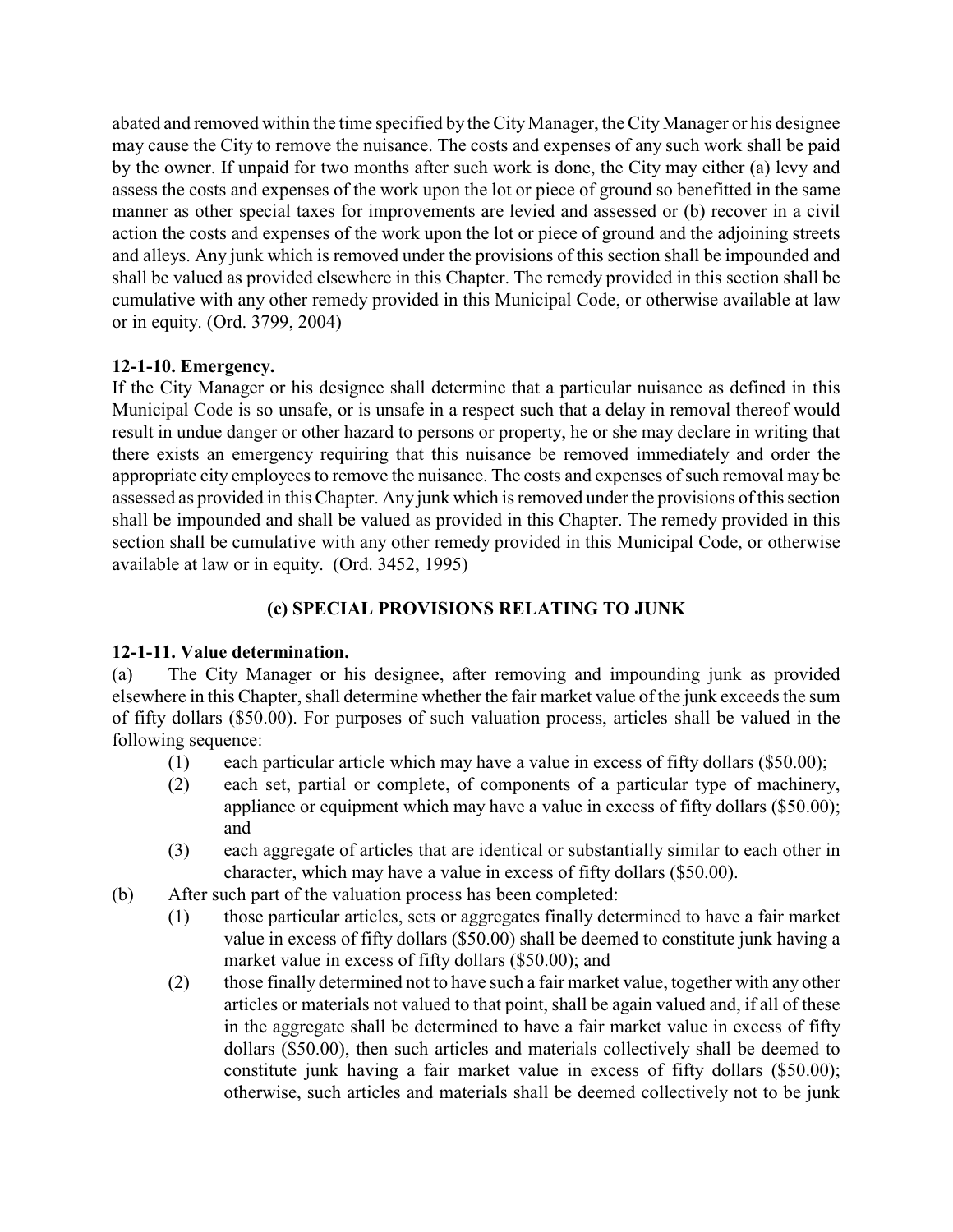abated and removed within the time specified by the City Manager, the City Manager or his designee may cause the City to remove the nuisance. The costs and expenses of any such work shall be paid by the owner. If unpaid for two months after such work is done, the City may either (a) levy and assess the costs and expenses of the work upon the lot or piece of ground so benefitted in the same manner as other special taxes for improvements are levied and assessed or (b) recover in a civil action the costs and expenses of the work upon the lot or piece of ground and the adjoining streets and alleys. Any junk which is removed under the provisions of this section shall be impounded and shall be valued as provided elsewhere in this Chapter. The remedy provided in this section shall be cumulative with any other remedy provided in this Municipal Code, or otherwise available at law or in equity. (Ord. 3799, 2004)

### <span id="page-4-0"></span>**12-1-10. Emergency.**

If the City Manager or his designee shall determine that a particular nuisance as defined in this Municipal Code is so unsafe, or is unsafe in a respect such that a delay in removal thereof would result in undue danger or other hazard to persons or property, he or she may declare in writing that there exists an emergency requiring that this nuisance be removed immediately and order the appropriate city employees to remove the nuisance. The costs and expenses of such removal may be assessed as provided in this Chapter. Any junk which is removed under the provisions of this section shall be impounded and shall be valued as provided in this Chapter. The remedy provided in this section shall be cumulative with any other remedy provided in this Municipal Code, or otherwise available at law or in equity. (Ord. 3452, 1995)

# **(c) SPECIAL PROVISIONS RELATING TO JUNK**

# <span id="page-4-1"></span>**12-1-11. Value determination.**

(a) The City Manager or his designee, after removing and impounding junk as provided elsewhere in this Chapter, shall determine whether the fair market value of the junk exceeds the sum of fifty dollars (\$50.00). For purposes of such valuation process, articles shall be valued in the following sequence:

- (1) each particular article which may have a value in excess of fifty dollars (\$50.00);
- (2) each set, partial or complete, of components of a particular type of machinery, appliance or equipment which may have a value in excess of fifty dollars (\$50.00); and
- (3) each aggregate of articles that are identical or substantially similar to each other in character, which may have a value in excess of fifty dollars (\$50.00).
- (b) After such part of the valuation process has been completed:
	- (1) those particular articles, sets or aggregates finally determined to have a fair market value in excess of fifty dollars (\$50.00) shall be deemed to constitute junk having a market value in excess of fifty dollars (\$50.00); and
	- (2) those finally determined not to have such a fair market value, together with any other articles or materials not valued to that point, shall be again valued and, if all of these in the aggregate shall be determined to have a fair market value in excess of fifty dollars (\$50.00), then such articles and materials collectively shall be deemed to constitute junk having a fair market value in excess of fifty dollars (\$50.00); otherwise, such articles and materials shall be deemed collectively not to be junk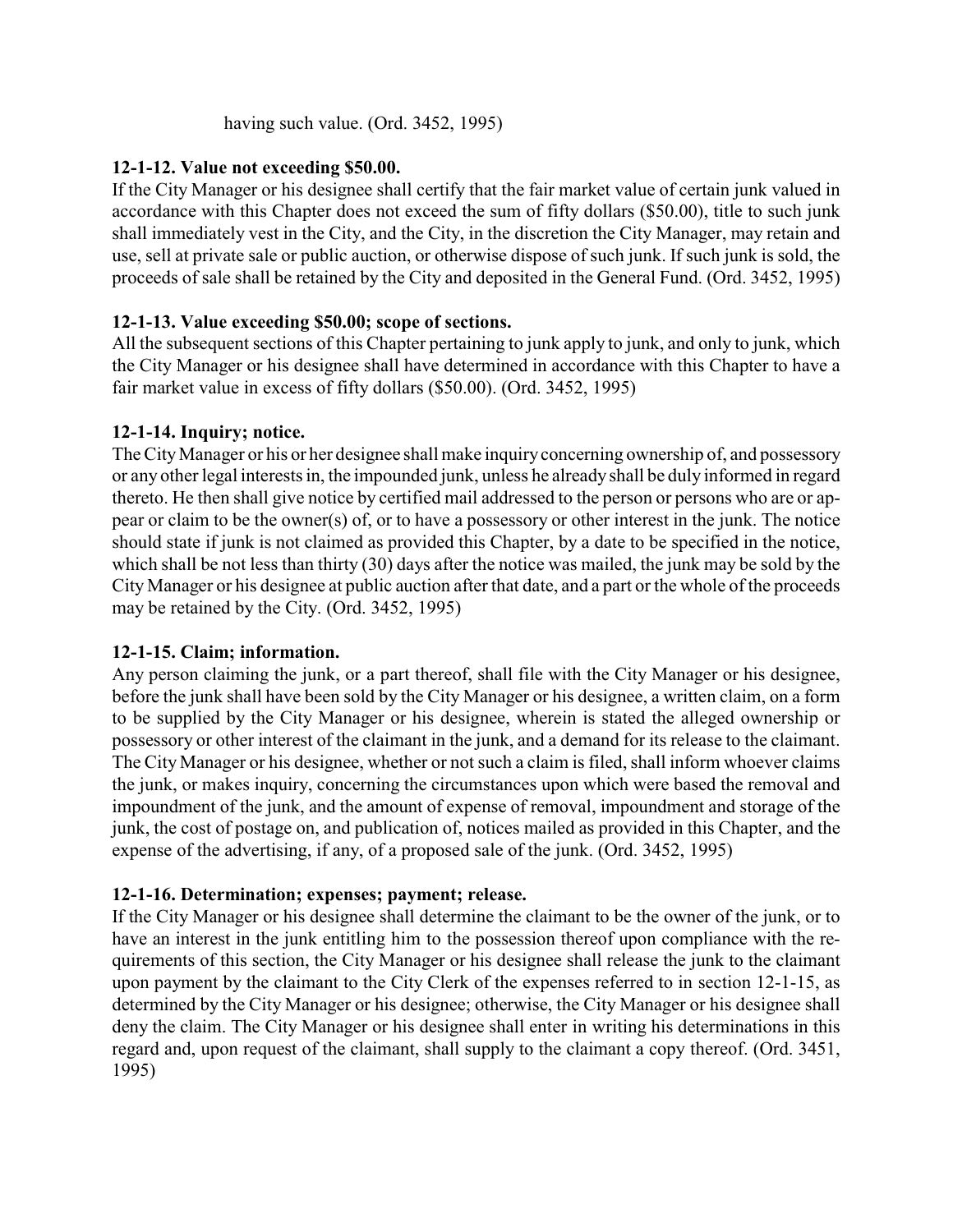having such value. (Ord. 3452, 1995)

### <span id="page-5-0"></span>**12-1-12. Value not exceeding \$50.00.**

If the City Manager or his designee shall certify that the fair market value of certain junk valued in accordance with this Chapter does not exceed the sum of fifty dollars (\$50.00), title to such junk shall immediately vest in the City, and the City, in the discretion the City Manager, may retain and use, sell at private sale or public auction, or otherwise dispose of such junk. If such junk is sold, the proceeds of sale shall be retained by the City and deposited in the General Fund. (Ord. 3452, 1995)

# <span id="page-5-1"></span>**12-1-13. Value exceeding \$50.00; scope of sections.**

All the subsequent sections of this Chapter pertaining to junk apply to junk, and only to junk, which the City Manager or his designee shall have determined in accordance with this Chapter to have a fair market value in excess of fifty dollars (\$50.00). (Ord. 3452, 1995)

# <span id="page-5-2"></span>**12-1-14. Inquiry; notice.**

The City Manager or his or her designee shall make inquiryconcerning ownership of, and possessory or any other legal interests in, the impounded junk, unless he already shall be duly informed in regard thereto. He then shall give notice by certified mail addressed to the person or persons who are or appear or claim to be the owner(s) of, or to have a possessory or other interest in the junk. The notice should state if junk is not claimed as provided this Chapter, by a date to be specified in the notice, which shall be not less than thirty (30) days after the notice was mailed, the junk may be sold by the City Manager or his designee at public auction after that date, and a part or the whole of the proceeds may be retained by the City. (Ord. 3452, 1995)

### <span id="page-5-3"></span>**12-1-15. Claim; information.**

Any person claiming the junk, or a part thereof, shall file with the City Manager or his designee, before the junk shall have been sold by the City Manager or his designee, a written claim, on a form to be supplied by the City Manager or his designee, wherein is stated the alleged ownership or possessory or other interest of the claimant in the junk, and a demand for its release to the claimant. The City Manager or his designee, whether or not such a claim is filed, shall inform whoever claims the junk, or makes inquiry, concerning the circumstances upon which were based the removal and impoundment of the junk, and the amount of expense of removal, impoundment and storage of the junk, the cost of postage on, and publication of, notices mailed as provided in this Chapter, and the expense of the advertising, if any, of a proposed sale of the junk. (Ord. 3452, 1995)

### <span id="page-5-4"></span>**12-1-16. Determination; expenses; payment; release.**

If the City Manager or his designee shall determine the claimant to be the owner of the junk, or to have an interest in the junk entitling him to the possession thereof upon compliance with the requirements of this section, the City Manager or his designee shall release the junk to the claimant upon payment by the claimant to the City Clerk of the expenses referred to in section 12-1-15, as determined by the City Manager or his designee; otherwise, the City Manager or his designee shall deny the claim. The City Manager or his designee shall enter in writing his determinations in this regard and, upon request of the claimant, shall supply to the claimant a copy thereof. (Ord. 3451, 1995)